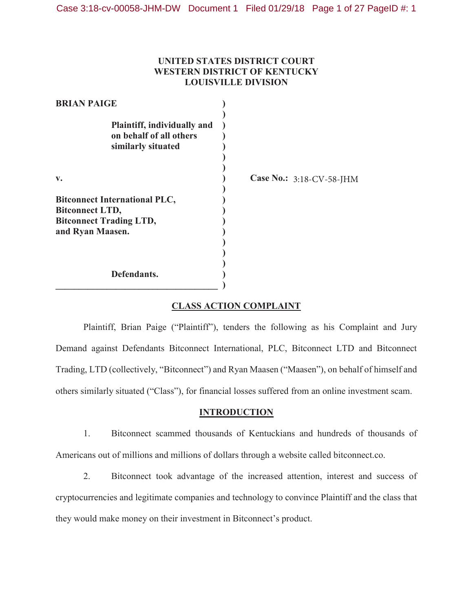# **UNITED STATES DISTRICT COURT WESTERN DISTRICT OF KENTUCKY LOUISVILLE DIVISION**

| <b>BRIAN PAIGE</b>                                                                                                   |                          |
|----------------------------------------------------------------------------------------------------------------------|--------------------------|
| Plaintiff, individually and<br>on behalf of all others<br>similarly situated                                         |                          |
| v.                                                                                                                   | Case No.: 3:18-CV-58-JHM |
| <b>Bitconnect International PLC,</b><br><b>Bitconnect LTD,</b><br><b>Bitconnect Trading LTD,</b><br>and Ryan Maasen. |                          |
| Defendants.                                                                                                          |                          |

# **CLASS ACTION COMPLAINT**

Plaintiff, Brian Paige ("Plaintiff"), tenders the following as his Complaint and Jury Demand against Defendants Bitconnect International, PLC, Bitconnect LTD and Bitconnect Trading, LTD (collectively, "Bitconnect") and Ryan Maasen ("Maasen"), on behalf of himself and others similarly situated ("Class"), for financial losses suffered from an online investment scam.

#### **INTRODUCTION**

1. Bitconnect scammed thousands of Kentuckians and hundreds of thousands of Americans out of millions and millions of dollars through a website called bitconnect.co.

2. Bitconnect took advantage of the increased attention, interest and success of cryptocurrencies and legitimate companies and technology to convince Plaintiff and the class that they would make money on their investment in Bitconnect's product.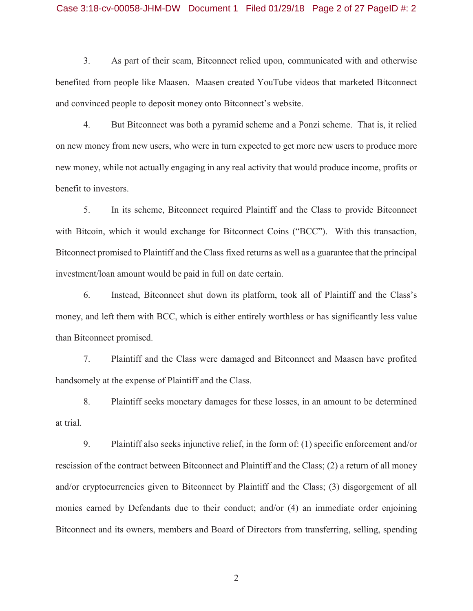### Case 3:18-cv-00058-JHM-DW Document 1 Filed 01/29/18 Page 2 of 27 PageID #: 2

3. As part of their scam, Bitconnect relied upon, communicated with and otherwise benefited from people like Maasen. Maasen created YouTube videos that marketed Bitconnect and convinced people to deposit money onto Bitconnect's website.

4. But Bitconnect was both a pyramid scheme and a Ponzi scheme. That is, it relied on new money from new users, who were in turn expected to get more new users to produce more new money, while not actually engaging in any real activity that would produce income, profits or benefit to investors.

5. In its scheme, Bitconnect required Plaintiff and the Class to provide Bitconnect with Bitcoin, which it would exchange for Bitconnect Coins ("BCC"). With this transaction, Bitconnect promised to Plaintiff and the Class fixed returns as well as a guarantee that the principal investment/loan amount would be paid in full on date certain.

6. Instead, Bitconnect shut down its platform, took all of Plaintiff and the Class's money, and left them with BCC, which is either entirely worthless or has significantly less value than Bitconnect promised.

7. Plaintiff and the Class were damaged and Bitconnect and Maasen have profited handsomely at the expense of Plaintiff and the Class.

8. Plaintiff seeks monetary damages for these losses, in an amount to be determined at trial.

9. Plaintiff also seeks injunctive relief, in the form of: (1) specific enforcement and/or rescission of the contract between Bitconnect and Plaintiff and the Class; (2) a return of all money and/or cryptocurrencies given to Bitconnect by Plaintiff and the Class; (3) disgorgement of all monies earned by Defendants due to their conduct; and/or (4) an immediate order enjoining Bitconnect and its owners, members and Board of Directors from transferring, selling, spending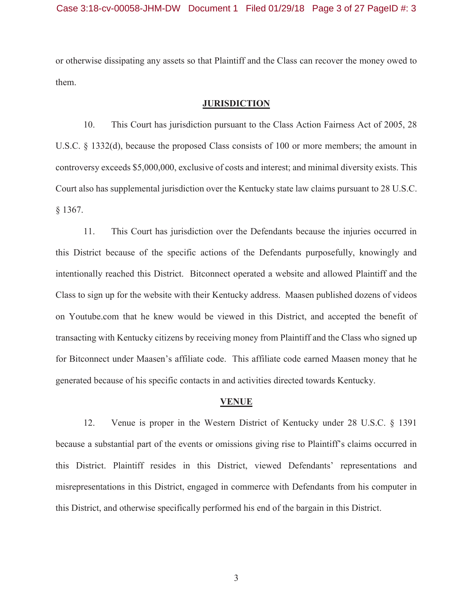or otherwise dissipating any assets so that Plaintiff and the Class can recover the money owed to them.

#### **JURISDICTION**

10. This Court has jurisdiction pursuant to the Class Action Fairness Act of 2005, 28 U.S.C. § 1332(d), because the proposed Class consists of 100 or more members; the amount in controversy exceeds \$5,000,000, exclusive of costs and interest; and minimal diversity exists. This Court also has supplemental jurisdiction over the Kentucky state law claims pursuant to 28 U.S.C. § 1367.

11. This Court has jurisdiction over the Defendants because the injuries occurred in this District because of the specific actions of the Defendants purposefully, knowingly and intentionally reached this District. Bitconnect operated a website and allowed Plaintiff and the Class to sign up for the website with their Kentucky address. Maasen published dozens of videos on Youtube.com that he knew would be viewed in this District, and accepted the benefit of transacting with Kentucky citizens by receiving money from Plaintiff and the Class who signed up for Bitconnect under Maasen's affiliate code. This affiliate code earned Maasen money that he generated because of his specific contacts in and activities directed towards Kentucky.

#### **VENUE**

12. Venue is proper in the Western District of Kentucky under 28 U.S.C. § 1391 because a substantial part of the events or omissions giving rise to Plaintiff's claims occurred in this District. Plaintiff resides in this District, viewed Defendants' representations and misrepresentations in this District, engaged in commerce with Defendants from his computer in this District, and otherwise specifically performed his end of the bargain in this District.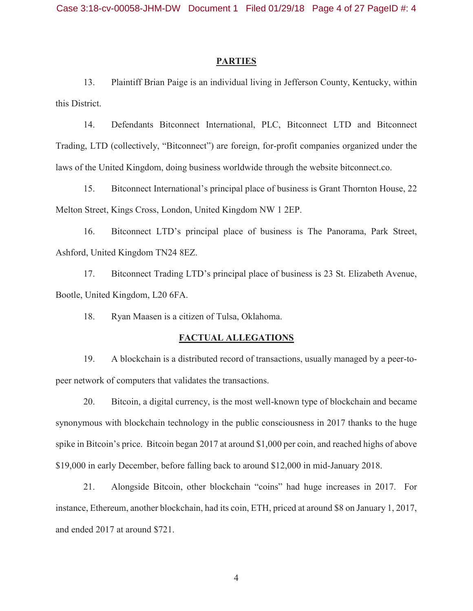#### **PARTIES**

13. Plaintiff Brian Paige is an individual living in Jefferson County, Kentucky, within this District.

14. Defendants Bitconnect International, PLC, Bitconnect LTD and Bitconnect Trading, LTD (collectively, "Bitconnect") are foreign, for-profit companies organized under the laws of the United Kingdom, doing business worldwide through the website bitconnect.co.

15. Bitconnect International's principal place of business is Grant Thornton House, 22 Melton Street, Kings Cross, London, United Kingdom NW 1 2EP.

16. Bitconnect LTD's principal place of business is The Panorama, Park Street, Ashford, United Kingdom TN24 8EZ.

17. Bitconnect Trading LTD's principal place of business is 23 St. Elizabeth Avenue, Bootle, United Kingdom, L20 6FA.

18. Ryan Maasen is a citizen of Tulsa, Oklahoma.

#### **FACTUAL ALLEGATIONS**

19. A blockchain is a distributed record of transactions, usually managed by a peer-topeer network of computers that validates the transactions.

20. Bitcoin, a digital currency, is the most well-known type of blockchain and became synonymous with blockchain technology in the public consciousness in 2017 thanks to the huge spike in Bitcoin's price. Bitcoin began 2017 at around \$1,000 per coin, and reached highs of above \$19,000 in early December, before falling back to around \$12,000 in mid-January 2018.

21. Alongside Bitcoin, other blockchain "coins" had huge increases in 2017. For instance, Ethereum, another blockchain, had its coin, ETH, priced at around \$8 on January 1, 2017, and ended 2017 at around \$721.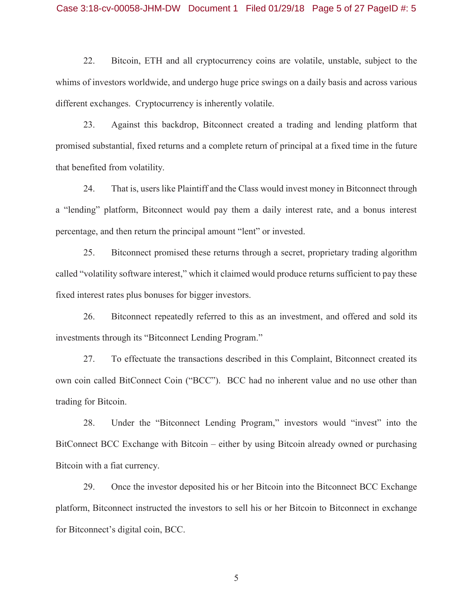#### Case 3:18-cv-00058-JHM-DW Document 1 Filed 01/29/18 Page 5 of 27 PageID #: 5

22. Bitcoin, ETH and all cryptocurrency coins are volatile, unstable, subject to the whims of investors worldwide, and undergo huge price swings on a daily basis and across various different exchanges. Cryptocurrency is inherently volatile.

23. Against this backdrop, Bitconnect created a trading and lending platform that promised substantial, fixed returns and a complete return of principal at a fixed time in the future that benefited from volatility.

24. That is, users like Plaintiff and the Class would invest money in Bitconnect through a "lending" platform, Bitconnect would pay them a daily interest rate, and a bonus interest percentage, and then return the principal amount "lent" or invested.

25. Bitconnect promised these returns through a secret, proprietary trading algorithm called "volatility software interest," which it claimed would produce returns sufficient to pay these fixed interest rates plus bonuses for bigger investors.

26. Bitconnect repeatedly referred to this as an investment, and offered and sold its investments through its "Bitconnect Lending Program."

27. To effectuate the transactions described in this Complaint, Bitconnect created its own coin called BitConnect Coin ("BCC"). BCC had no inherent value and no use other than trading for Bitcoin.

28. Under the "Bitconnect Lending Program," investors would "invest" into the BitConnect BCC Exchange with Bitcoin – either by using Bitcoin already owned or purchasing Bitcoin with a fiat currency.

29. Once the investor deposited his or her Bitcoin into the Bitconnect BCC Exchange platform, Bitconnect instructed the investors to sell his or her Bitcoin to Bitconnect in exchange for Bitconnect's digital coin, BCC.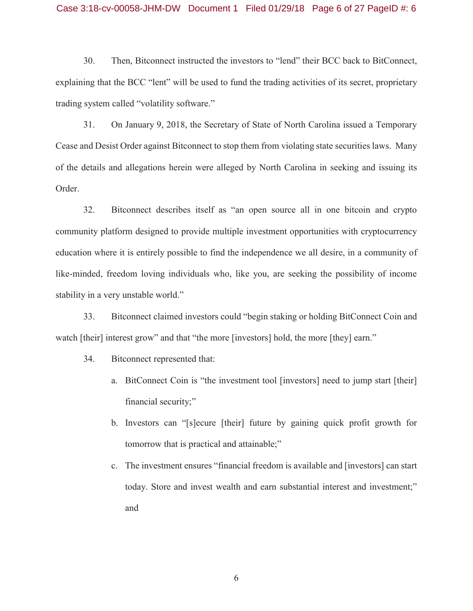#### Case 3:18-cv-00058-JHM-DW Document 1 Filed 01/29/18 Page 6 of 27 PageID #: 6

30. Then, Bitconnect instructed the investors to "lend" their BCC back to BitConnect, explaining that the BCC "lent" will be used to fund the trading activities of its secret, proprietary trading system called "volatility software."

31. On January 9, 2018, the Secretary of State of North Carolina issued a Temporary Cease and Desist Order against Bitconnect to stop them from violating state securities laws. Many of the details and allegations herein were alleged by North Carolina in seeking and issuing its Order.

32. Bitconnect describes itself as "an open source all in one bitcoin and crypto community platform designed to provide multiple investment opportunities with cryptocurrency education where it is entirely possible to find the independence we all desire, in a community of like-minded, freedom loving individuals who, like you, are seeking the possibility of income stability in a very unstable world."

33. Bitconnect claimed investors could "begin staking or holding BitConnect Coin and watch [their] interest grow" and that "the more [investors] hold, the more [they] earn."

- 34. Bitconnect represented that:
	- a. BitConnect Coin is "the investment tool [investors] need to jump start [their] financial security;"
	- b. Investors can "[s]ecure [their] future by gaining quick profit growth for tomorrow that is practical and attainable;"
	- c. The investment ensures "financial freedom is available and [investors] can start today. Store and invest wealth and earn substantial interest and investment;" and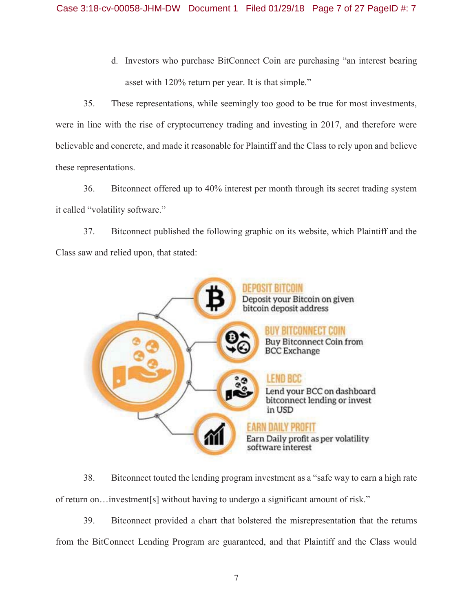d. Investors who purchase BitConnect Coin are purchasing "an interest bearing asset with 120% return per year. It is that simple."

35. These representations, while seemingly too good to be true for most investments, were in line with the rise of cryptocurrency trading and investing in 2017, and therefore were believable and concrete, and made it reasonable for Plaintiff and the Class to rely upon and believe these representations.

36. Bitconnect offered up to 40% interest per month through its secret trading system it called "volatility software."

37. Bitconnect published the following graphic on its website, which Plaintiff and the Class saw and relied upon, that stated:



38. Bitconnect touted the lending program investment as a "safe way to earn a high rate of return on…investment[s] without having to undergo a significant amount of risk."

39. Bitconnect provided a chart that bolstered the misrepresentation that the returns from the BitConnect Lending Program are guaranteed, and that Plaintiff and the Class would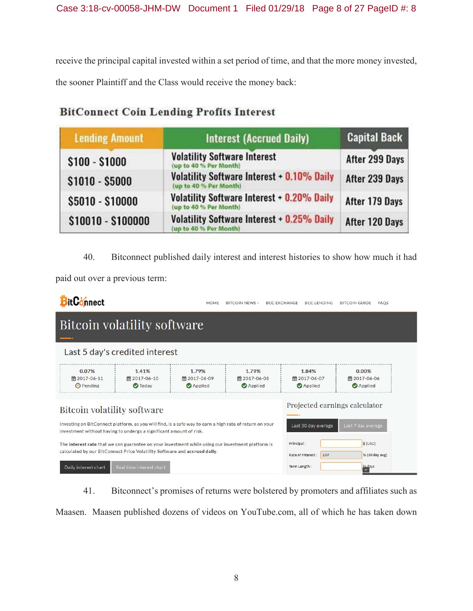receive the principal capital invested within a set period of time, and that the more money invested, the sooner Plaintiff and the Class would receive the money back:

| <b>Lending Amount</b> | <b>Interest (Accrued Daily)</b>                                             | <b>Capital Back</b> |  |  |
|-----------------------|-----------------------------------------------------------------------------|---------------------|--|--|
| $$100 - $1000$        | <b>Volatility Software Interest</b><br>(up to 40 % Per Month)               | After 299 Days      |  |  |
| $$1010 - $5000$       | <b>Volatility Software Interest + 0.10% Daily</b><br>(up to 40 % Per Month) | After 239 Days      |  |  |
| \$5010 - \$10000      | <b>Volatility Software Interest + 0.20% Daily</b><br>up to 40 % Per Month)  | After 179 Days      |  |  |
| \$10010 - \$100000    | Volatility Software Interest + 0.25% Daily<br>up to 40 % Per Month)         | After 120 Days      |  |  |

# **BitConnect Coin Lending Profits Interest**

40. Bitconnect published daily interest and interest histories to show how much it had

paid out over a previous term:

| BitConnect                                                                                                                                                                                                                                               |                                                                                                                                                                               | HOME                                    | <b>BITCOIN NEWS -</b>                   | <b>BCC EXCHANGE</b> | <b>BCC LENDING</b>                      | <b>BITCOIN GUIDE</b>             | <b>FAOS</b> |  |  |
|----------------------------------------------------------------------------------------------------------------------------------------------------------------------------------------------------------------------------------------------------------|-------------------------------------------------------------------------------------------------------------------------------------------------------------------------------|-----------------------------------------|-----------------------------------------|---------------------|-----------------------------------------|----------------------------------|-------------|--|--|
| <b>COL</b>                                                                                                                                                                                                                                               | Bitcoin volatility software                                                                                                                                                   |                                         |                                         |                     |                                         |                                  |             |  |  |
|                                                                                                                                                                                                                                                          | Last 5 day's credited interest                                                                                                                                                |                                         |                                         |                     |                                         |                                  |             |  |  |
| 0.07%<br>■2017-06-11<br><b>O</b> Pending                                                                                                                                                                                                                 | 1.41%<br>■ 2017-06-10<br><b>O</b> Today                                                                                                                                       | 1.79%<br>■ 2017-06-09<br><b>Applied</b> | 1.79%<br>■ 2017-06-08<br><b>Applied</b> |                     | 1.84%<br>■ 2017-06-07<br><b>Applied</b> | 0.00%<br>■ 2017-06-06<br>Applied |             |  |  |
| <b>Bitcoin volatility software</b>                                                                                                                                                                                                                       |                                                                                                                                                                               |                                         |                                         |                     |                                         | Projected earnings calculator    |             |  |  |
|                                                                                                                                                                                                                                                          | Investing on BitConnect platform, as you will find, is a safe way to earn a high rate of return on your<br>investment without having to undergo a significant amount of risk. |                                         |                                         |                     | Last 30 day average                     | Last 7 day average               |             |  |  |
| $$$ (USD)<br>Principal:<br>The interest rate that we can guarantee on your investment while using our investment platform is<br>calculated by our BitConnect Price Volatility Software and accrued daily.<br>% (30 day avg)<br>Rate of Interest:<br>1.07 |                                                                                                                                                                               |                                         |                                         |                     |                                         |                                  |             |  |  |
| Daily interest chart                                                                                                                                                                                                                                     | Term Length:<br>in days<br>Real time interest chart                                                                                                                           |                                         |                                         |                     |                                         |                                  |             |  |  |

41. Bitconnect's promises of returns were bolstered by promoters and affiliates such as

Maasen. Maasen published dozens of videos on YouTube.com, all of which he has taken down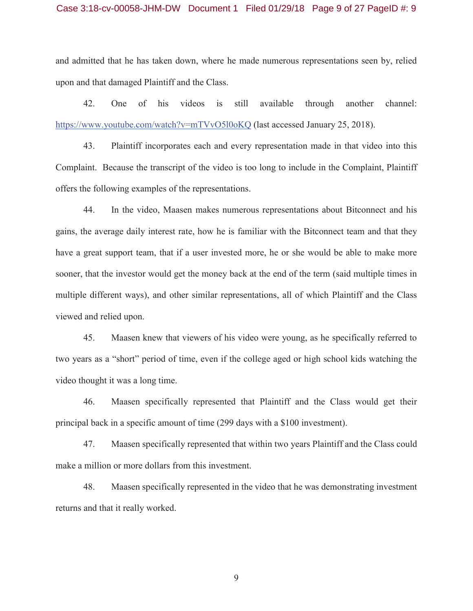#### Case 3:18-cv-00058-JHM-DW Document 1 Filed 01/29/18 Page 9 of 27 PageID #: 9

and admitted that he has taken down, where he made numerous representations seen by, relied upon and that damaged Plaintiff and the Class.

42. One of his videos is still available through another channel: https://www.youtube.com/watch?v=mTVvO5l0oKQ (last accessed January 25, 2018).

43. Plaintiff incorporates each and every representation made in that video into this Complaint. Because the transcript of the video is too long to include in the Complaint, Plaintiff offers the following examples of the representations.

44. In the video, Maasen makes numerous representations about Bitconnect and his gains, the average daily interest rate, how he is familiar with the Bitconnect team and that they have a great support team, that if a user invested more, he or she would be able to make more sooner, that the investor would get the money back at the end of the term (said multiple times in multiple different ways), and other similar representations, all of which Plaintiff and the Class viewed and relied upon.

45. Maasen knew that viewers of his video were young, as he specifically referred to two years as a "short" period of time, even if the college aged or high school kids watching the video thought it was a long time.

46. Maasen specifically represented that Plaintiff and the Class would get their principal back in a specific amount of time (299 days with a \$100 investment).

47. Maasen specifically represented that within two years Plaintiff and the Class could make a million or more dollars from this investment.

48. Maasen specifically represented in the video that he was demonstrating investment returns and that it really worked.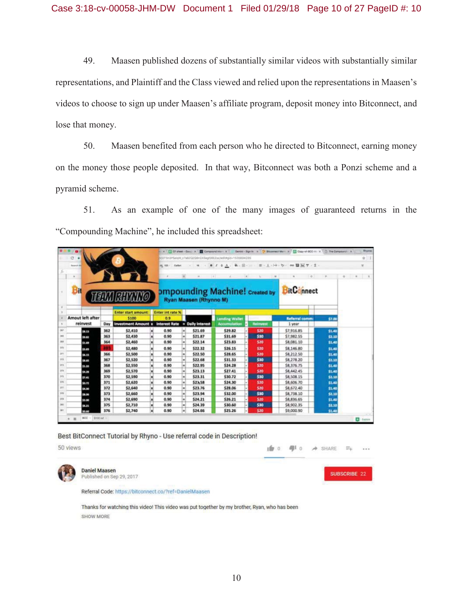49. Maasen published dozens of substantially similar videos with substantially similar representations, and Plaintiff and the Class viewed and relied upon the representations in Maasen's videos to choose to sign up under Maasen's affiliate program, deposit money into Bitconnect, and lose that money.

50. Maasen benefited from each person who he directed to Bitconnect, earning money on the money those people deposited. In that way, Bitconnect was both a Ponzi scheme and a pyramid scheme.

51. As an example of one of the many images of guaranteed returns in the "Compounding Machine", he included this spreadsheet:

|                   | $-10$             |                         |     |                                                           |   |                                |                |                               | x [ ] CF sheet - Docc: X   D Compound Inter x   Demini - Sign in x   D Stanneest Mar x   C Copy of BCC-III x   [ ] The Compound X |   |                 |                                 |                |          | Rhynne         |
|-------------------|-------------------|-------------------------|-----|-----------------------------------------------------------|---|--------------------------------|----------------|-------------------------------|-----------------------------------------------------------------------------------------------------------------------------------|---|-----------------|---------------------------------|----------------|----------|----------------|
|                   | $C - 4$           |                         |     |                                                           |   |                                |                |                               | VIDT9n3PSalgW_z7wBZQZQBn2ASagI56EZoc/wRt#gid=1535694285                                                                           |   |                 |                                 |                |          | ☆ 1            |
|                   | <b>Bearch Old</b> |                         |     |                                                           |   |                                |                |                               | 视 00: 000 → H → B Z S A . 4. 田 → B - 上 → b → 00 目 M V - E -                                                                       |   |                 |                                 |                |          | 泵              |
|                   | $\mu$             |                         |     |                                                           |   | $\sim$                         |                | Miller Corp.                  |                                                                                                                                   |   |                 | $\sim$                          | $-0$<br>$\sim$ | $9 - 10$ | $\blacksquare$ |
|                   | Bit               |                         |     | <b>THE VIOLENT CONTROL</b>                                |   |                                |                | <b>Ryan Maasen (Rhynno M)</b> | <b>Impounding Machine!</b> Created by <b>BitConnect</b>                                                                           |   |                 |                                 |                |          |                |
|                   |                   |                         |     |                                                           |   |                                |                |                               |                                                                                                                                   |   |                 |                                 |                |          |                |
| ٠                 |                   | <b>Amout left after</b> |     | <b>Enter start amount</b><br>\$100                        |   | <b>Enter int rate %</b><br>0.9 |                |                               |                                                                                                                                   |   |                 |                                 |                |          |                |
|                   |                   | reinvest                | Day | <b>Investment Amount x Interest Rate = Daily Interest</b> |   |                                |                |                               | <b>Lending Wallet</b><br><b>Accumulation</b>                                                                                      | ۰ | <b>Reimvest</b> | <b>Referral comm:</b><br>1 year | \$7.00         |          |                |
| 30                |                   | \$8.33                  | 362 | \$2,410                                                   |   | 0.90                           |                | \$21.69                       | \$29.82                                                                                                                           |   | \$20            | \$7,916.85                      | \$1.40         |          |                |
| <b>Job</b>        |                   | \$9.82                  | 363 | \$2,430                                                   |   | 0.90                           | Ξ              | \$21.87                       | \$31.69                                                                                                                           |   | \$30            | \$7,982.55                      | \$2.10         |          |                |
| $^{20}$           |                   | \$1.49                  | 364 | \$2,460                                                   | × | 0.90                           | im)            | \$22.14                       | \$23.83                                                                                                                           |   | \$20            | \$8,081.10                      | \$1.40         |          |                |
| 370               |                   | \$3.83                  |     | \$2,480                                                   |   | 0.90                           | ۸              | \$22.32                       | \$26.15                                                                                                                           |   | \$20            | \$8,146.80                      | 51.40          |          |                |
| 371               |                   | 54.15                   | 366 | \$2,500                                                   |   | 0.90                           | lm)            | \$22.50                       | \$28.65                                                                                                                           |   | \$20            | \$8,212.50                      | \$1.40         |          |                |
| 372               |                   | \$8.65                  | 367 | \$2,520                                                   |   | 0.90                           | w.             | \$22.68                       | \$31.33                                                                                                                           |   | \$30            | 58,278.20                       | \$2.10         |          |                |
| 271               |                   | 51.33                   | 368 | \$2,550                                                   |   | 0.90                           | шl             | \$22.95                       | \$24.28                                                                                                                           |   | \$20            | \$8,376.75                      | \$1.40         |          |                |
| 314               |                   | \$4.29                  | 369 | \$2,570                                                   |   | 0.90                           | ш              | \$23.13                       | \$27.41                                                                                                                           |   | \$20            | \$8,442.45                      | \$1.40         |          |                |
| 316               |                   | 57.41                   | 370 | \$2,590                                                   |   | 0.90                           | Ξ              | \$23.31                       | \$30.72                                                                                                                           |   | \$30            | \$8,508.15                      | \$2.10         |          |                |
| 276               |                   | 50.72                   | 371 | \$2,620                                                   |   | 0.90                           | im)            | \$23.58                       | \$24.30                                                                                                                           |   | 520             | \$8,606.70                      | \$1.40         |          |                |
| 377               |                   | 54.30                   | 372 | \$2,640                                                   |   | 0.90                           | w              | \$23.76                       | \$28.06                                                                                                                           |   | \$20            | \$8,672.40                      | \$1.40         |          |                |
|                   |                   | 58.06                   | 373 | \$2,660                                                   | × | 0.90                           | ш              | \$23.94                       | \$32.00                                                                                                                           |   | \$30            | \$8,738.10                      | \$2.10         |          |                |
|                   |                   | \$3.00                  | 374 | \$2,690                                                   | × | 0.90                           | i al           | \$24.21                       | \$26.21                                                                                                                           |   | \$20            | \$8,836.65                      | \$1.40         |          |                |
|                   |                   | 54.21                   | 375 | \$2,710                                                   | ш | 0.90                           | $\overline{a}$ | \$24.39                       | \$30.60                                                                                                                           |   | \$30            | \$8,902.35                      | \$2.10         |          |                |
| 376<br>378<br>300 |                   |                         |     |                                                           |   |                                |                |                               | \$25.26                                                                                                                           |   |                 |                                 |                |          |                |

Best BitConnect Tutorial by Rhyno - Use referral code in Description!

50 views



**Daniel Maasen** Published on Sep 29, 2017



E50

SHARE

直0 型0

Referral Code: https://bitconnect.co/?ref=DanielMaasen

Thanks for watching this video! This video was put together by my brother, Ryan, who has been SHOW MORE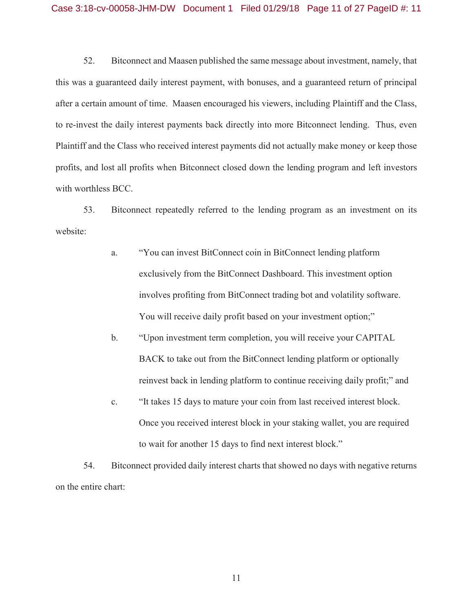52. Bitconnect and Maasen published the same message about investment, namely, that this was a guaranteed daily interest payment, with bonuses, and a guaranteed return of principal after a certain amount of time. Maasen encouraged his viewers, including Plaintiff and the Class, to re-invest the daily interest payments back directly into more Bitconnect lending. Thus, even Plaintiff and the Class who received interest payments did not actually make money or keep those profits, and lost all profits when Bitconnect closed down the lending program and left investors with worthless BCC.

53. Bitconnect repeatedly referred to the lending program as an investment on its website:

- a. "You can invest BitConnect coin in BitConnect lending platform exclusively from the BitConnect Dashboard. This investment option involves profiting from BitConnect trading bot and volatility software. You will receive daily profit based on your investment option;"
- b. "Upon investment term completion, you will receive your CAPITAL BACK to take out from the BitConnect lending platform or optionally reinvest back in lending platform to continue receiving daily profit;" and
- c. "It takes 15 days to mature your coin from last received interest block. Once you received interest block in your staking wallet, you are required to wait for another 15 days to find next interest block."

54. Bitconnect provided daily interest charts that showed no days with negative returns on the entire chart: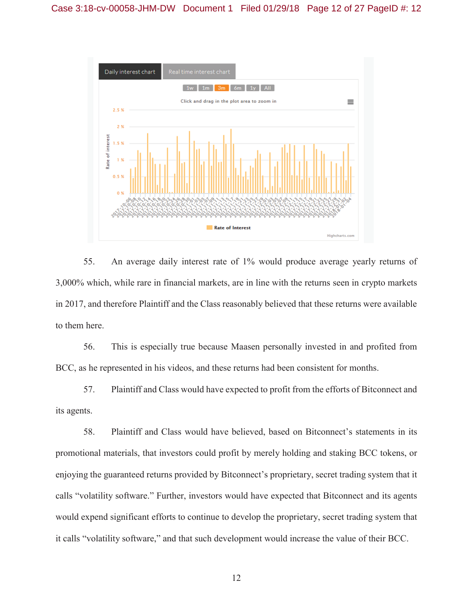

55. An average daily interest rate of 1% would produce average yearly returns of 3,000% which, while rare in financial markets, are in line with the returns seen in crypto markets in 2017, and therefore Plaintiff and the Class reasonably believed that these returns were available to them here.

56. This is especially true because Maasen personally invested in and profited from BCC, as he represented in his videos, and these returns had been consistent for months.

57. Plaintiff and Class would have expected to profit from the efforts of Bitconnect and its agents.

58. Plaintiff and Class would have believed, based on Bitconnect's statements in its promotional materials, that investors could profit by merely holding and staking BCC tokens, or enjoying the guaranteed returns provided by Bitconnect's proprietary, secret trading system that it calls "volatility software." Further, investors would have expected that Bitconnect and its agents would expend significant efforts to continue to develop the proprietary, secret trading system that it calls "volatility software," and that such development would increase the value of their BCC.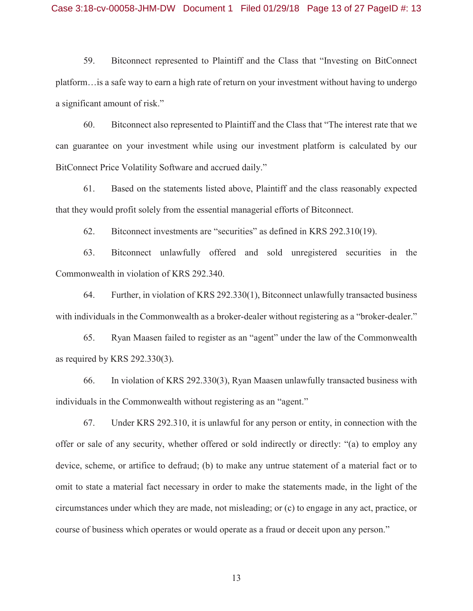59. Bitconnect represented to Plaintiff and the Class that "Investing on BitConnect platform…is a safe way to earn a high rate of return on your investment without having to undergo a significant amount of risk."

60. Bitconnect also represented to Plaintiff and the Class that "The interest rate that we can guarantee on your investment while using our investment platform is calculated by our BitConnect Price Volatility Software and accrued daily."

61. Based on the statements listed above, Plaintiff and the class reasonably expected that they would profit solely from the essential managerial efforts of Bitconnect.

62. Bitconnect investments are "securities" as defined in KRS 292.310(19).

63. Bitconnect unlawfully offered and sold unregistered securities in the Commonwealth in violation of KRS 292.340.

64. Further, in violation of KRS 292.330(1), Bitconnect unlawfully transacted business with individuals in the Commonwealth as a broker-dealer without registering as a "broker-dealer."

65. Ryan Maasen failed to register as an "agent" under the law of the Commonwealth as required by KRS 292.330(3)*.*

66. In violation of KRS 292.330(3), Ryan Maasen unlawfully transacted business with individuals in the Commonwealth without registering as an "agent."

67. Under KRS 292.310, it is unlawful for any person or entity, in connection with the offer or sale of any security, whether offered or sold indirectly or directly: "(a) to employ any device, scheme, or artifice to defraud; (b) to make any untrue statement of a material fact or to omit to state a material fact necessary in order to make the statements made, in the light of the circumstances under which they are made, not misleading; or (c) to engage in any act, practice, or course of business which operates or would operate as a fraud or deceit upon any person."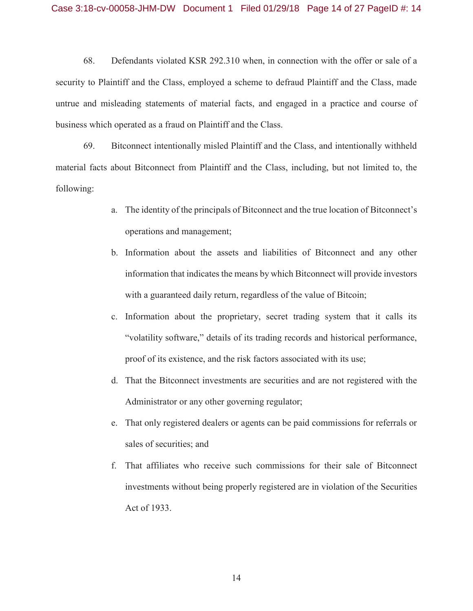68. Defendants violated KSR 292.310 when, in connection with the offer or sale of a security to Plaintiff and the Class, employed a scheme to defraud Plaintiff and the Class, made untrue and misleading statements of material facts, and engaged in a practice and course of business which operated as a fraud on Plaintiff and the Class.

69. Bitconnect intentionally misled Plaintiff and the Class, and intentionally withheld material facts about Bitconnect from Plaintiff and the Class, including, but not limited to, the following:

- a. The identity of the principals of Bitconnect and the true location of Bitconnect's operations and management;
- b. Information about the assets and liabilities of Bitconnect and any other information that indicates the means by which Bitconnect will provide investors with a guaranteed daily return, regardless of the value of Bitcoin;
- c. Information about the proprietary, secret trading system that it calls its "volatility software," details of its trading records and historical performance, proof of its existence, and the risk factors associated with its use;
- d. That the Bitconnect investments are securities and are not registered with the Administrator or any other governing regulator;
- e. That only registered dealers or agents can be paid commissions for referrals or sales of securities; and
- f. That affiliates who receive such commissions for their sale of Bitconnect investments without being properly registered are in violation of the Securities Act of 1933.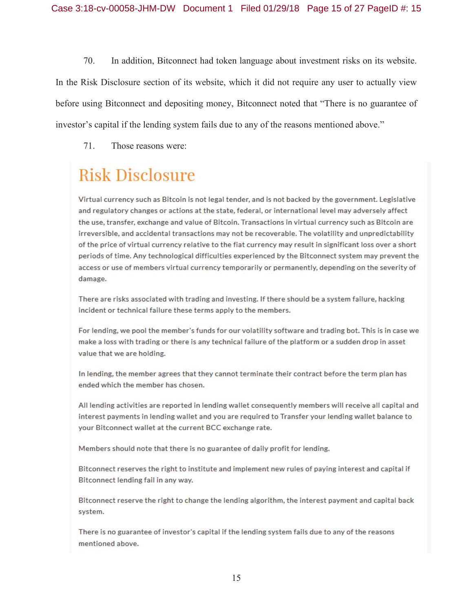70. In addition, Bitconnect had token language about investment risks on its website. In the Risk Disclosure section of its website, which it did not require any user to actually view before using Bitconnect and depositing money, Bitconnect noted that "There is no guarantee of investor's capital if the lending system fails due to any of the reasons mentioned above."

71. Those reasons were:

# **Risk Disclosure**

Virtual currency such as Bitcoin is not legal tender, and is not backed by the government. Legislative and regulatory changes or actions at the state, federal, or international level may adversely affect the use, transfer, exchange and value of Bitcoin. Transactions in virtual currency such as Bitcoin are irreversible, and accidental transactions may not be recoverable. The volatility and unpredictability of the price of virtual currency relative to the fiat currency may result in significant loss over a short periods of time. Any technological difficulties experienced by the Bitconnect system may prevent the access or use of members virtual currency temporarily or permanently, depending on the severity of damage.

There are risks associated with trading and investing. If there should be a system failure, hacking incident or technical failure these terms apply to the members.

For lending, we pool the member's funds for our volatility software and trading bot. This is in case we make a loss with trading or there is any technical failure of the platform or a sudden drop in asset value that we are holding.

In lending, the member agrees that they cannot terminate their contract before the term plan has ended which the member has chosen.

All lending activities are reported in lending wallet consequently members will receive all capital and interest payments in lending wallet and you are required to Transfer your lending wallet balance to your Bitconnect wallet at the current BCC exchange rate.

Members should note that there is no guarantee of daily profit for lending.

Bitconnect reserves the right to institute and implement new rules of paying interest and capital if Bitconnect lending fail in any way.

Bitconnect reserve the right to change the lending algorithm, the interest payment and capital back system.

There is no guarantee of investor's capital if the lending system fails due to any of the reasons mentioned above.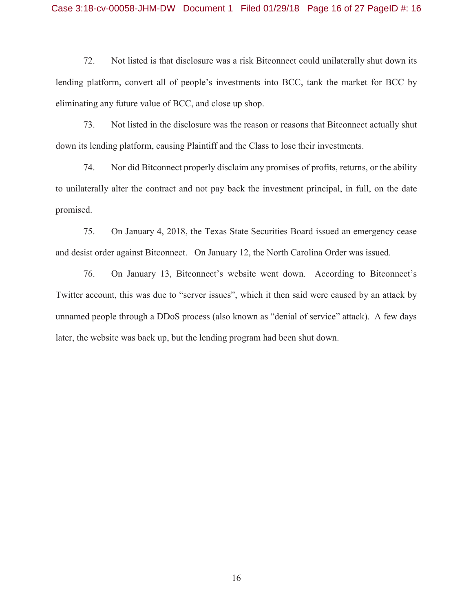72. Not listed is that disclosure was a risk Bitconnect could unilaterally shut down its lending platform, convert all of people's investments into BCC, tank the market for BCC by eliminating any future value of BCC, and close up shop.

73. Not listed in the disclosure was the reason or reasons that Bitconnect actually shut down its lending platform, causing Plaintiff and the Class to lose their investments.

74. Nor did Bitconnect properly disclaim any promises of profits, returns, or the ability to unilaterally alter the contract and not pay back the investment principal, in full, on the date promised.

75. On January 4, 2018, the Texas State Securities Board issued an emergency cease and desist order against Bitconnect. On January 12, the North Carolina Order was issued.

76. On January 13, Bitconnect's website went down. According to Bitconnect's Twitter account, this was due to "server issues", which it then said were caused by an attack by unnamed people through a DDoS process (also known as "denial of service" attack). A few days later, the website was back up, but the lending program had been shut down.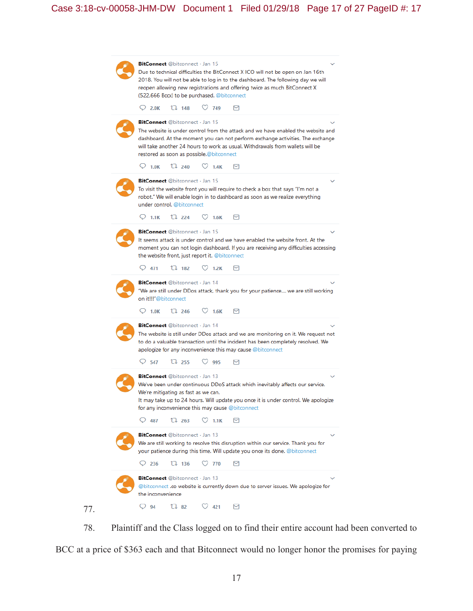| <b>BitConnect</b> @bitconnect · Jan 15<br>Due to technical difficulties the BitConnect X ICO will not be open on Jan 16th<br>2018. You will not be able to log in to the dashboard. The following day we will<br>reopen allowing new registrations and offering twice as much BitConnect X<br>(522,666 Bccx) to be purchased. @bitconnect |
|-------------------------------------------------------------------------------------------------------------------------------------------------------------------------------------------------------------------------------------------------------------------------------------------------------------------------------------------|
| $\heartsuit$ 749<br>$O$ 2.0K<br>11.148<br>м                                                                                                                                                                                                                                                                                               |
| <b>BitConnect</b> @bitconnect · Jan 15<br>The website is under control from the attack and we have enabled the website and<br>dashboard. At the moment you can not perform exchange activities. The exchange<br>will take another 24 hours to work as usual. Withdrawals from wallets will be<br>restored as soon as possible.@bitconnect |
| 11,240<br>$\heartsuit$ 1.0K<br>$\circlearrowright$ 1.4K<br>м                                                                                                                                                                                                                                                                              |
| <b>BitConnect</b> @bitconnect · Jan 15<br>To visit the website front you will require to check a box that says "I'm not a<br>robot." We will enable login in to dashboard as soon as we realize everything<br>under control. @bitconnect<br>11224<br>$\heartsuit$ 1.6K<br>$\circ$ 1.1K<br>м                                               |
|                                                                                                                                                                                                                                                                                                                                           |
| BitConnect @bitconnect · Jan 15<br>It seems attack is under control and we have enabled the website front. At the<br>moment you can not login dashboard. If you are receiving any difficulties accessing<br>the website front, just report it. @bitconnect                                                                                |
| $O$ 471<br>TI 182<br>1.2K<br>м                                                                                                                                                                                                                                                                                                            |
| <b>BitConnect</b> @bitconnect · Jan 14<br>"We are still under DDos attack, thank you for your patience we are still working<br>on it!!!"@bitconnect<br>$\heartsuit$ 1.6K<br>112246<br>$\circ$ 1.0K<br>м                                                                                                                                   |
| BitConnect @bitconnect · Jan 14<br>The website is still under DDos attack and we are monitoring on it. We request not<br>to do a valuable transaction until the incident has been completely resolved. We<br>apologize for any inconvenience this may cause @bitconnect                                                                   |
| $\circ$ 547<br>$\mathbb{U}$ 255<br>$\heartsuit$ 995<br>м                                                                                                                                                                                                                                                                                  |
| BitConnect @bitconnect · Jan 13<br>We've been under continuous DDoS attack which inevitably affects our service.<br>We're mitigating as fast as we can.<br>It may take up to 24 hours. Will update you once it is under control. We apologize<br>for any inconvenience this may cause @bitconnect                                         |
| Ő<br>487<br>11.263<br>1.1K<br>м                                                                                                                                                                                                                                                                                                           |
| <b>BitConnect</b> @bitconnect · Jan 13<br>We are still working to resolve this disruption within our service. Thank you for<br>your patience during this time. Will update you once its done. @bitconnect                                                                                                                                 |
| $\heartsuit$ 770<br>$\vee$ 236<br>11.136<br>м                                                                                                                                                                                                                                                                                             |
| BitConnect @bitconnect · Jan 13<br>@bitconnect <b>.co</b> website is currently down due to server issues. We apologize for<br>the inconvenience<br>17 82<br>$\heartsuit$ 421<br>$\vee$ 94<br>м                                                                                                                                            |
|                                                                                                                                                                                                                                                                                                                                           |

78. Plaintiff and the Class logged on to find their entire account had been converted to BCC at a price of \$363 each and that Bitconnect would no longer honor the promises for paying

77.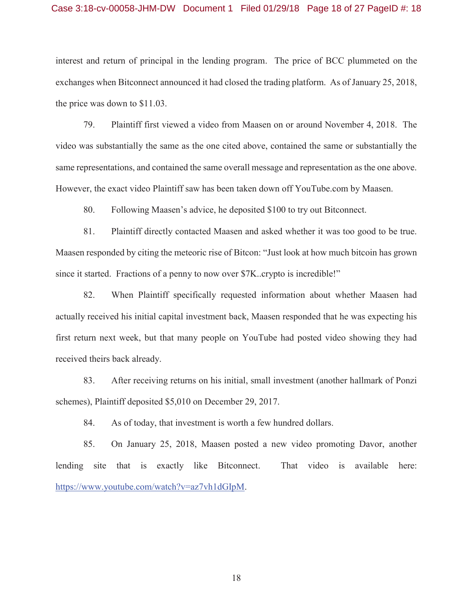#### Case 3:18-cv-00058-JHM-DW Document 1 Filed 01/29/18 Page 18 of 27 PageID #: 18

interest and return of principal in the lending program. The price of BCC plummeted on the exchanges when Bitconnect announced it had closed the trading platform. As of January 25, 2018, the price was down to \$11.03.

79. Plaintiff first viewed a video from Maasen on or around November 4, 2018. The video was substantially the same as the one cited above, contained the same or substantially the same representations, and contained the same overall message and representation as the one above. However, the exact video Plaintiff saw has been taken down off YouTube.com by Maasen.

80. Following Maasen's advice, he deposited \$100 to try out Bitconnect.

81. Plaintiff directly contacted Maasen and asked whether it was too good to be true. Maasen responded by citing the meteoric rise of Bitcon: "Just look at how much bitcoin has grown since it started. Fractions of a penny to now over \$7K..crypto is incredible!"

82. When Plaintiff specifically requested information about whether Maasen had actually received his initial capital investment back, Maasen responded that he was expecting his first return next week, but that many people on YouTube had posted video showing they had received theirs back already.

83. After receiving returns on his initial, small investment (another hallmark of Ponzi schemes), Plaintiff deposited \$5,010 on December 29, 2017.

84. As of today, that investment is worth a few hundred dollars.

85. On January 25, 2018, Maasen posted a new video promoting Davor, another lending site that is exactly like Bitconnect. That video is available here: https://www.youtube.com/watch?v=az7vh1dGIpM.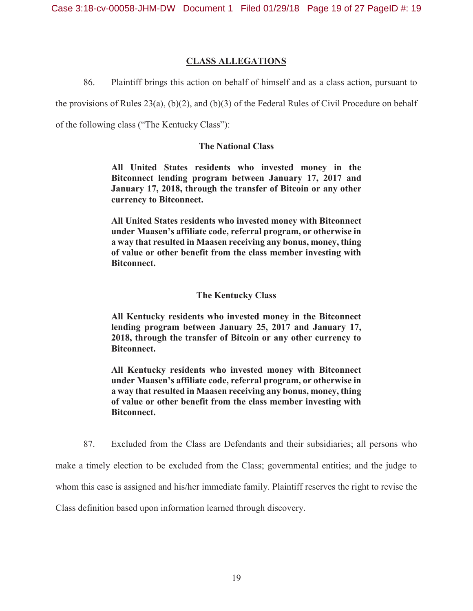## **CLASS ALLEGATIONS**

86. Plaintiff brings this action on behalf of himself and as a class action, pursuant to

the provisions of Rules 23(a), (b)(2), and (b)(3) of the Federal Rules of Civil Procedure on behalf

of the following class ("The Kentucky Class"):

### **The National Class**

**All United States residents who invested money in the Bitconnect lending program between January 17, 2017 and January 17, 2018, through the transfer of Bitcoin or any other currency to Bitconnect.** 

**All United States residents who invested money with Bitconnect under Maasen's affiliate code, referral program, or otherwise in a way that resulted in Maasen receiving any bonus, money, thing of value or other benefit from the class member investing with Bitconnect.** 

### **The Kentucky Class**

**All Kentucky residents who invested money in the Bitconnect lending program between January 25, 2017 and January 17, 2018, through the transfer of Bitcoin or any other currency to Bitconnect.** 

**All Kentucky residents who invested money with Bitconnect under Maasen's affiliate code, referral program, or otherwise in a way that resulted in Maasen receiving any bonus, money, thing of value or other benefit from the class member investing with Bitconnect.** 

87. Excluded from the Class are Defendants and their subsidiaries; all persons who make a timely election to be excluded from the Class; governmental entities; and the judge to whom this case is assigned and his/her immediate family. Plaintiff reserves the right to revise the Class definition based upon information learned through discovery.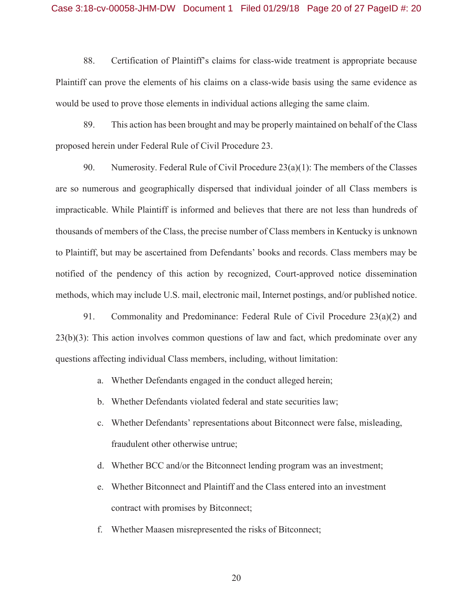#### Case 3:18-cv-00058-JHM-DW Document 1 Filed 01/29/18 Page 20 of 27 PageID #: 20

88. Certification of Plaintiff's claims for class-wide treatment is appropriate because Plaintiff can prove the elements of his claims on a class-wide basis using the same evidence as would be used to prove those elements in individual actions alleging the same claim.

89. This action has been brought and may be properly maintained on behalf of the Class proposed herein under Federal Rule of Civil Procedure 23.

90. Numerosity. Federal Rule of Civil Procedure  $23(a)(1)$ : The members of the Classes are so numerous and geographically dispersed that individual joinder of all Class members is impracticable. While Plaintiff is informed and believes that there are not less than hundreds of thousands of members of the Class, the precise number of Class members in Kentucky is unknown to Plaintiff, but may be ascertained from Defendants' books and records. Class members may be notified of the pendency of this action by recognized, Court-approved notice dissemination methods, which may include U.S. mail, electronic mail, Internet postings, and/or published notice.

91. Commonality and Predominance: Federal Rule of Civil Procedure 23(a)(2) and 23(b)(3): This action involves common questions of law and fact, which predominate over any questions affecting individual Class members, including, without limitation:

- a. Whether Defendants engaged in the conduct alleged herein;
- b. Whether Defendants violated federal and state securities law;
- c. Whether Defendants' representations about Bitconnect were false, misleading, fraudulent other otherwise untrue;
- d. Whether BCC and/or the Bitconnect lending program was an investment;
- e. Whether Bitconnect and Plaintiff and the Class entered into an investment contract with promises by Bitconnect;
- f. Whether Maasen misrepresented the risks of Bitconnect;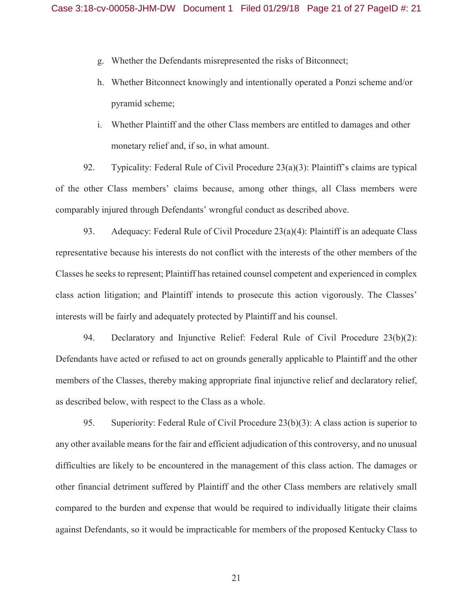- g. Whether the Defendants misrepresented the risks of Bitconnect;
- h. Whether Bitconnect knowingly and intentionally operated a Ponzi scheme and/or pyramid scheme;
- i. Whether Plaintiff and the other Class members are entitled to damages and other monetary relief and, if so, in what amount.

92. Typicality: Federal Rule of Civil Procedure 23(a)(3): Plaintiff's claims are typical of the other Class members' claims because, among other things, all Class members were comparably injured through Defendants' wrongful conduct as described above.

93. Adequacy: Federal Rule of Civil Procedure 23(a)(4): Plaintiff is an adequate Class representative because his interests do not conflict with the interests of the other members of the Classes he seeks to represent; Plaintiff has retained counsel competent and experienced in complex class action litigation; and Plaintiff intends to prosecute this action vigorously. The Classes' interests will be fairly and adequately protected by Plaintiff and his counsel.

94. Declaratory and Injunctive Relief: Federal Rule of Civil Procedure 23(b)(2): Defendants have acted or refused to act on grounds generally applicable to Plaintiff and the other members of the Classes, thereby making appropriate final injunctive relief and declaratory relief, as described below, with respect to the Class as a whole.

95. Superiority: Federal Rule of Civil Procedure 23(b)(3): A class action is superior to any other available means for the fair and efficient adjudication of this controversy, and no unusual difficulties are likely to be encountered in the management of this class action. The damages or other financial detriment suffered by Plaintiff and the other Class members are relatively small compared to the burden and expense that would be required to individually litigate their claims against Defendants, so it would be impracticable for members of the proposed Kentucky Class to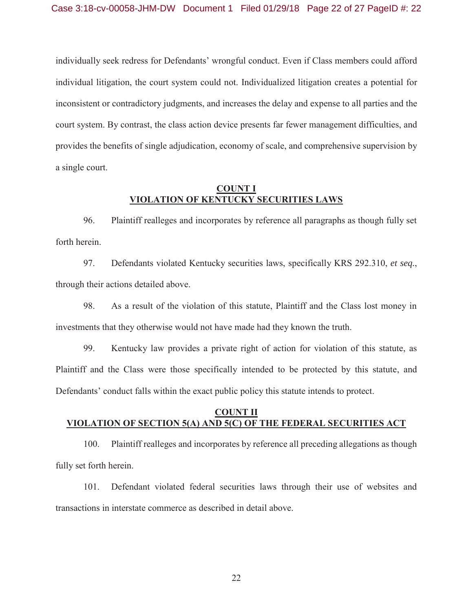individually seek redress for Defendants' wrongful conduct. Even if Class members could afford individual litigation, the court system could not. Individualized litigation creates a potential for inconsistent or contradictory judgments, and increases the delay and expense to all parties and the court system. By contrast, the class action device presents far fewer management difficulties, and provides the benefits of single adjudication, economy of scale, and comprehensive supervision by a single court.

#### **COUNT I VIOLATION OF KENTUCKY SECURITIES LAWS**

96. Plaintiff realleges and incorporates by reference all paragraphs as though fully set forth herein.

97. Defendants violated Kentucky securities laws, specifically KRS 292.310, *et seq.*, through their actions detailed above.

98. As a result of the violation of this statute, Plaintiff and the Class lost money in investments that they otherwise would not have made had they known the truth.

99. Kentucky law provides a private right of action for violation of this statute, as Plaintiff and the Class were those specifically intended to be protected by this statute, and Defendants' conduct falls within the exact public policy this statute intends to protect.

# **COUNT II VIOLATION OF SECTION 5(A) AND 5(C) OF THE FEDERAL SECURITIES ACT**

100. Plaintiff realleges and incorporates by reference all preceding allegations as though fully set forth herein.

101. Defendant violated federal securities laws through their use of websites and transactions in interstate commerce as described in detail above.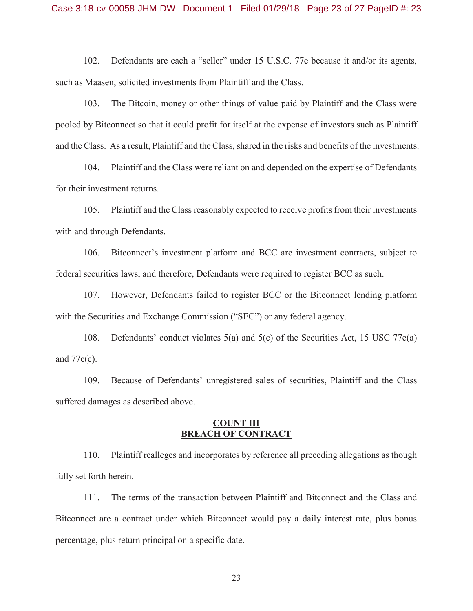102. Defendants are each a "seller" under 15 U.S.C. 77e because it and/or its agents, such as Maasen, solicited investments from Plaintiff and the Class.

103. The Bitcoin, money or other things of value paid by Plaintiff and the Class were pooled by Bitconnect so that it could profit for itself at the expense of investors such as Plaintiff and the Class. As a result, Plaintiff and the Class, shared in the risks and benefits of the investments.

104. Plaintiff and the Class were reliant on and depended on the expertise of Defendants for their investment returns.

105. Plaintiff and the Class reasonably expected to receive profits from their investments with and through Defendants.

106. Bitconnect's investment platform and BCC are investment contracts, subject to federal securities laws, and therefore, Defendants were required to register BCC as such.

107. However, Defendants failed to register BCC or the Bitconnect lending platform with the Securities and Exchange Commission ("SEC") or any federal agency.

108. Defendants' conduct violates 5(a) and 5(c) of the Securities Act, 15 USC 77e(a) and 77e(c).

109. Because of Defendants' unregistered sales of securities, Plaintiff and the Class suffered damages as described above.

# **COUNT III BREACH OF CONTRACT**

110. Plaintiff realleges and incorporates by reference all preceding allegations as though fully set forth herein.

111. The terms of the transaction between Plaintiff and Bitconnect and the Class and Bitconnect are a contract under which Bitconnect would pay a daily interest rate, plus bonus percentage, plus return principal on a specific date.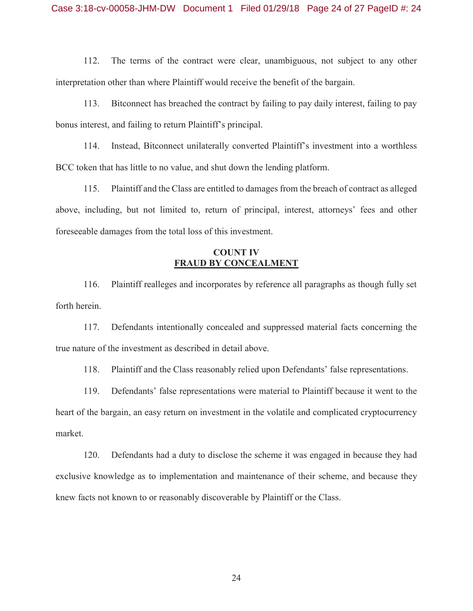112. The terms of the contract were clear, unambiguous, not subject to any other interpretation other than where Plaintiff would receive the benefit of the bargain.

113. Bitconnect has breached the contract by failing to pay daily interest, failing to pay bonus interest, and failing to return Plaintiff's principal.

114. Instead, Bitconnect unilaterally converted Plaintiff's investment into a worthless BCC token that has little to no value, and shut down the lending platform.

115. Plaintiff and the Class are entitled to damages from the breach of contract as alleged above, including, but not limited to, return of principal, interest, attorneys' fees and other foreseeable damages from the total loss of this investment.

# **COUNT IV FRAUD BY CONCEALMENT**

116. Plaintiff realleges and incorporates by reference all paragraphs as though fully set forth herein.

117. Defendants intentionally concealed and suppressed material facts concerning the true nature of the investment as described in detail above.

118. Plaintiff and the Class reasonably relied upon Defendants' false representations.

119. Defendants' false representations were material to Plaintiff because it went to the heart of the bargain, an easy return on investment in the volatile and complicated cryptocurrency market.

120. Defendants had a duty to disclose the scheme it was engaged in because they had exclusive knowledge as to implementation and maintenance of their scheme, and because they knew facts not known to or reasonably discoverable by Plaintiff or the Class.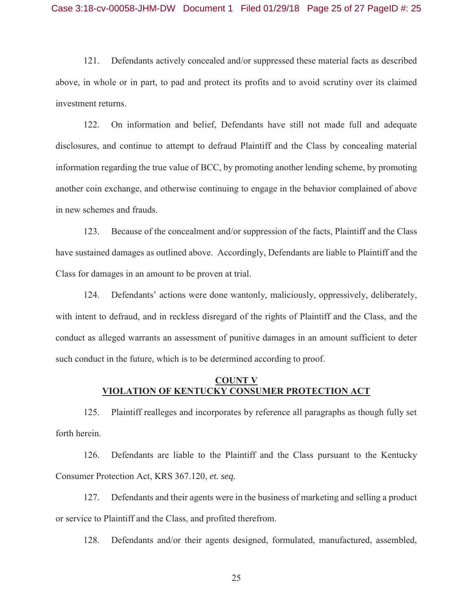121. Defendants actively concealed and/or suppressed these material facts as described above, in whole or in part, to pad and protect its profits and to avoid scrutiny over its claimed investment returns.

122. On information and belief, Defendants have still not made full and adequate disclosures, and continue to attempt to defraud Plaintiff and the Class by concealing material information regarding the true value of BCC, by promoting another lending scheme, by promoting another coin exchange, and otherwise continuing to engage in the behavior complained of above in new schemes and frauds.

123. Because of the concealment and/or suppression of the facts, Plaintiff and the Class have sustained damages as outlined above. Accordingly, Defendants are liable to Plaintiff and the Class for damages in an amount to be proven at trial.

124. Defendants' actions were done wantonly, maliciously, oppressively, deliberately, with intent to defraud, and in reckless disregard of the rights of Plaintiff and the Class, and the conduct as alleged warrants an assessment of punitive damages in an amount sufficient to deter such conduct in the future, which is to be determined according to proof.

# **COUNT V VIOLATION OF KENTUCKY CONSUMER PROTECTION ACT**

125. Plaintiff realleges and incorporates by reference all paragraphs as though fully set forth herein.

126. Defendants are liable to the Plaintiff and the Class pursuant to the Kentucky Consumer Protection Act, KRS 367.120, *et. seq.*

127. Defendants and their agents were in the business of marketing and selling a product or service to Plaintiff and the Class, and profited therefrom.

128. Defendants and/or their agents designed, formulated, manufactured, assembled,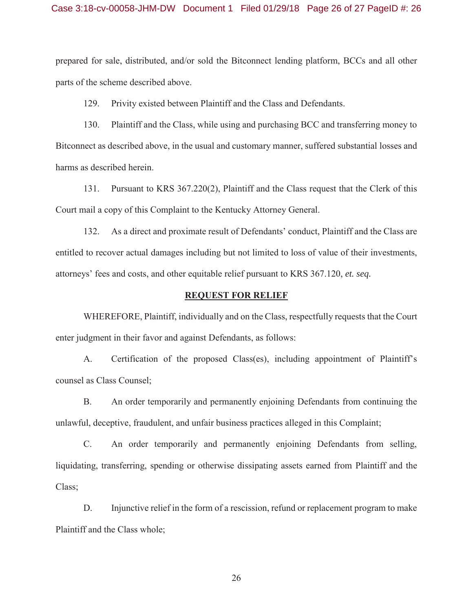prepared for sale, distributed, and/or sold the Bitconnect lending platform, BCCs and all other parts of the scheme described above.

129. Privity existed between Plaintiff and the Class and Defendants.

130. Plaintiff and the Class, while using and purchasing BCC and transferring money to Bitconnect as described above, in the usual and customary manner, suffered substantial losses and harms as described herein.

131. Pursuant to KRS 367.220(2), Plaintiff and the Class request that the Clerk of this Court mail a copy of this Complaint to the Kentucky Attorney General.

132. As a direct and proximate result of Defendants' conduct, Plaintiff and the Class are entitled to recover actual damages including but not limited to loss of value of their investments, attorneys' fees and costs, and other equitable relief pursuant to KRS 367.120, *et. seq.* 

#### **REQUEST FOR RELIEF**

WHEREFORE, Plaintiff, individually and on the Class, respectfully requests that the Court enter judgment in their favor and against Defendants, as follows:

A. Certification of the proposed Class(es), including appointment of Plaintiff's counsel as Class Counsel;

B. An order temporarily and permanently enjoining Defendants from continuing the unlawful, deceptive, fraudulent, and unfair business practices alleged in this Complaint;

C. An order temporarily and permanently enjoining Defendants from selling, liquidating, transferring, spending or otherwise dissipating assets earned from Plaintiff and the Class;

D. Injunctive relief in the form of a rescission, refund or replacement program to make Plaintiff and the Class whole;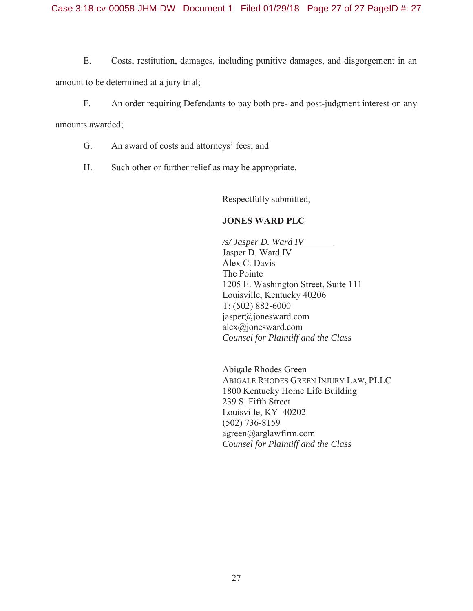E. Costs, restitution, damages, including punitive damages, and disgorgement in an amount to be determined at a jury trial;

F. An order requiring Defendants to pay both pre- and post-judgment interest on any

amounts awarded;

- G. An award of costs and attorneys' fees; and
- H. Such other or further relief as may be appropriate.

Respectfully submitted,

# **JONES WARD PLC**

 */s/ Jasper D. Ward IV*  Jasper D. Ward IV Alex C. Davis The Pointe 1205 E. Washington Street, Suite 111 Louisville, Kentucky 40206 T: (502) 882-6000 jasper@jonesward.com alex@jonesward.com  *Counsel for Plaintiff and the Class* 

Abigale Rhodes Green ABIGALE RHODES GREEN INJURY LAW, PLLC 1800 Kentucky Home Life Building 239 S. Fifth Street Louisville, KY 40202 (502) 736-8159 agreen@arglawfirm.com *Counsel for Plaintiff and the Class*